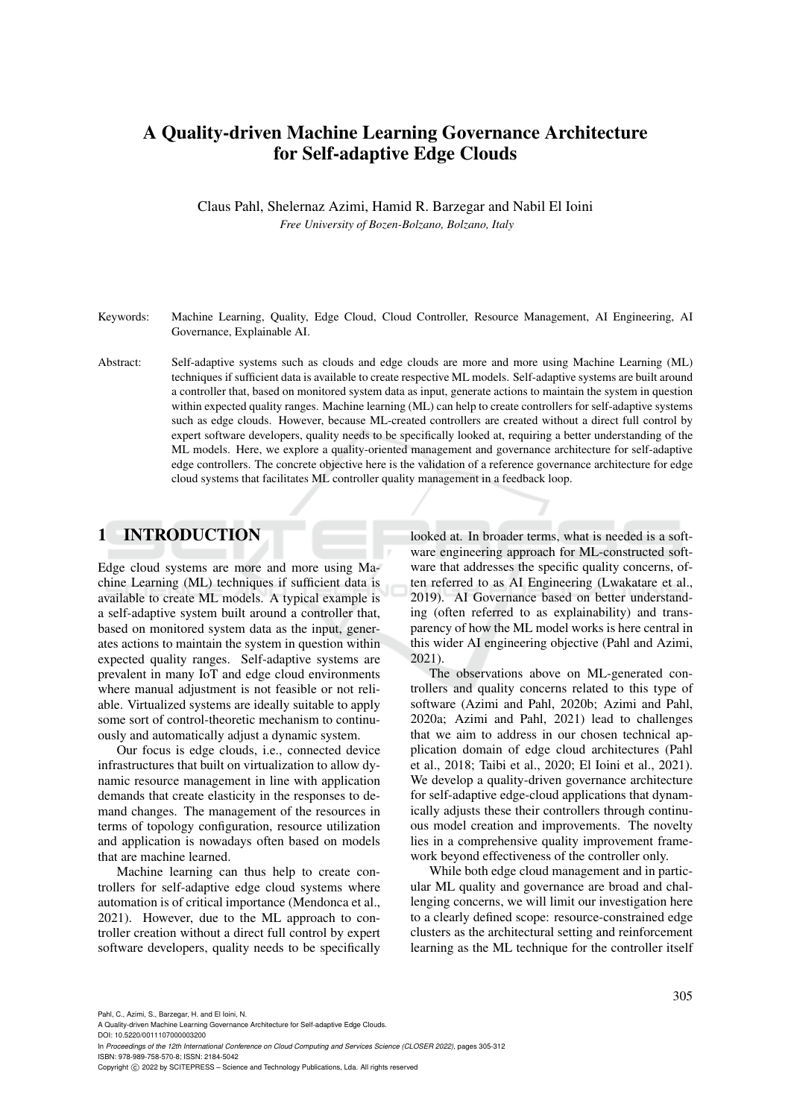# A Quality-driven Machine Learning Governance Architecture for Self-adaptive Edge Clouds

Claus Pahl, Shelernaz Azimi, Hamid R. Barzegar and Nabil El Ioini *Free University of Bozen-Bolzano, Bolzano, Italy*

- Keywords: Machine Learning, Quality, Edge Cloud, Cloud Controller, Resource Management, AI Engineering, AI Governance, Explainable AI.
- Abstract: Self-adaptive systems such as clouds and edge clouds are more and more using Machine Learning (ML) techniques if sufficient data is available to create respective ML models. Self-adaptive systems are built around a controller that, based on monitored system data as input, generate actions to maintain the system in question within expected quality ranges. Machine learning (ML) can help to create controllers for self-adaptive systems such as edge clouds. However, because ML-created controllers are created without a direct full control by expert software developers, quality needs to be specifically looked at, requiring a better understanding of the ML models. Here, we explore a quality-oriented management and governance architecture for self-adaptive edge controllers. The concrete objective here is the validation of a reference governance architecture for edge cloud systems that facilitates ML controller quality management in a feedback loop.

# 1 INTRODUCTION

Edge cloud systems are more and more using Machine Learning (ML) techniques if sufficient data is available to create ML models. A typical example is a self-adaptive system built around a controller that, based on monitored system data as the input, generates actions to maintain the system in question within expected quality ranges. Self-adaptive systems are prevalent in many IoT and edge cloud environments where manual adjustment is not feasible or not reliable. Virtualized systems are ideally suitable to apply some sort of control-theoretic mechanism to continuously and automatically adjust a dynamic system.

Our focus is edge clouds, i.e., connected device infrastructures that built on virtualization to allow dynamic resource management in line with application demands that create elasticity in the responses to demand changes. The management of the resources in terms of topology configuration, resource utilization and application is nowadays often based on models that are machine learned.

Machine learning can thus help to create controllers for self-adaptive edge cloud systems where automation is of critical importance (Mendonca et al., 2021). However, due to the ML approach to controller creation without a direct full control by expert software developers, quality needs to be specifically looked at. In broader terms, what is needed is a software engineering approach for ML-constructed software that addresses the specific quality concerns, often referred to as AI Engineering (Lwakatare et al., 2019). AI Governance based on better understanding (often referred to as explainability) and transparency of how the ML model works is here central in this wider AI engineering objective (Pahl and Azimi, 2021).

The observations above on ML-generated controllers and quality concerns related to this type of software (Azimi and Pahl, 2020b; Azimi and Pahl, 2020a; Azimi and Pahl, 2021) lead to challenges that we aim to address in our chosen technical application domain of edge cloud architectures (Pahl et al., 2018; Taibi et al., 2020; El Ioini et al., 2021). We develop a quality-driven governance architecture for self-adaptive edge-cloud applications that dynamically adjusts these their controllers through continuous model creation and improvements. The novelty lies in a comprehensive quality improvement framework beyond effectiveness of the controller only.

While both edge cloud management and in particular ML quality and governance are broad and challenging concerns, we will limit our investigation here to a clearly defined scope: resource-constrained edge clusters as the architectural setting and reinforcement learning as the ML technique for the controller itself

A Quality-driven Machine Learning Governance Architecture for Self-adaptive Edge Clouds.

DOI: 10.5220/0011107000003200

In *Proceedings of the 12th International Conference on Cloud Computing and Services Science (CLOSER 2022)*, pages 305-312 ISBN: 978-989-758-570-8; ISSN: 2184-5042

Copyright (C) 2022 by SCITEPRESS - Science and Technology Publications, Lda. All rights reserved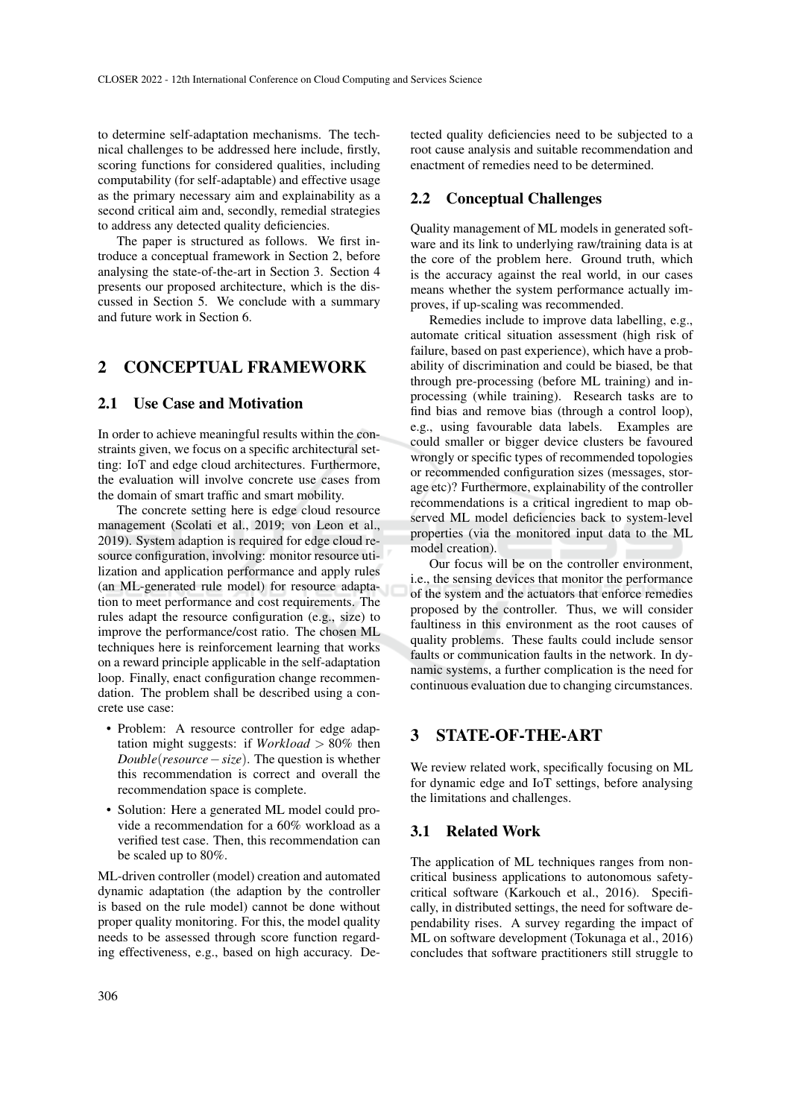to determine self-adaptation mechanisms. The technical challenges to be addressed here include, firstly, scoring functions for considered qualities, including computability (for self-adaptable) and effective usage as the primary necessary aim and explainability as a second critical aim and, secondly, remedial strategies to address any detected quality deficiencies.

The paper is structured as follows. We first introduce a conceptual framework in Section 2, before analysing the state-of-the-art in Section 3. Section 4 presents our proposed architecture, which is the discussed in Section 5. We conclude with a summary and future work in Section 6.

# 2 CONCEPTUAL FRAMEWORK

## 2.1 Use Case and Motivation

In order to achieve meaningful results within the constraints given, we focus on a specific architectural setting: IoT and edge cloud architectures. Furthermore, the evaluation will involve concrete use cases from the domain of smart traffic and smart mobility.

The concrete setting here is edge cloud resource management (Scolati et al., 2019; von Leon et al., 2019). System adaption is required for edge cloud resource configuration, involving: monitor resource utilization and application performance and apply rules (an ML-generated rule model) for resource adaptation to meet performance and cost requirements. The rules adapt the resource configuration (e.g., size) to improve the performance/cost ratio. The chosen ML techniques here is reinforcement learning that works on a reward principle applicable in the self-adaptation loop. Finally, enact configuration change recommendation. The problem shall be described using a concrete use case:

- Problem: A resource controller for edge adaptation might suggests: if *Workload* > 80% then *Double*(*resource*−*size*). The question is whether this recommendation is correct and overall the recommendation space is complete.
- Solution: Here a generated ML model could provide a recommendation for a 60% workload as a verified test case. Then, this recommendation can be scaled up to 80%.

ML-driven controller (model) creation and automated dynamic adaptation (the adaption by the controller is based on the rule model) cannot be done without proper quality monitoring. For this, the model quality needs to be assessed through score function regarding effectiveness, e.g., based on high accuracy. Detected quality deficiencies need to be subjected to a root cause analysis and suitable recommendation and enactment of remedies need to be determined.

## 2.2 Conceptual Challenges

Quality management of ML models in generated software and its link to underlying raw/training data is at the core of the problem here. Ground truth, which is the accuracy against the real world, in our cases means whether the system performance actually improves, if up-scaling was recommended.

Remedies include to improve data labelling, e.g., automate critical situation assessment (high risk of failure, based on past experience), which have a probability of discrimination and could be biased, be that through pre-processing (before ML training) and inprocessing (while training). Research tasks are to find bias and remove bias (through a control loop), e.g., using favourable data labels. Examples are could smaller or bigger device clusters be favoured wrongly or specific types of recommended topologies or recommended configuration sizes (messages, storage etc)? Furthermore, explainability of the controller recommendations is a critical ingredient to map observed ML model deficiencies back to system-level properties (via the monitored input data to the ML model creation).

Our focus will be on the controller environment, i.e., the sensing devices that monitor the performance of the system and the actuators that enforce remedies proposed by the controller. Thus, we will consider faultiness in this environment as the root causes of quality problems. These faults could include sensor faults or communication faults in the network. In dynamic systems, a further complication is the need for continuous evaluation due to changing circumstances.

## 3 STATE-OF-THE-ART

We review related work, specifically focusing on ML for dynamic edge and IoT settings, before analysing the limitations and challenges.

### 3.1 Related Work

The application of ML techniques ranges from noncritical business applications to autonomous safetycritical software (Karkouch et al., 2016). Specifically, in distributed settings, the need for software dependability rises. A survey regarding the impact of ML on software development (Tokunaga et al., 2016) concludes that software practitioners still struggle to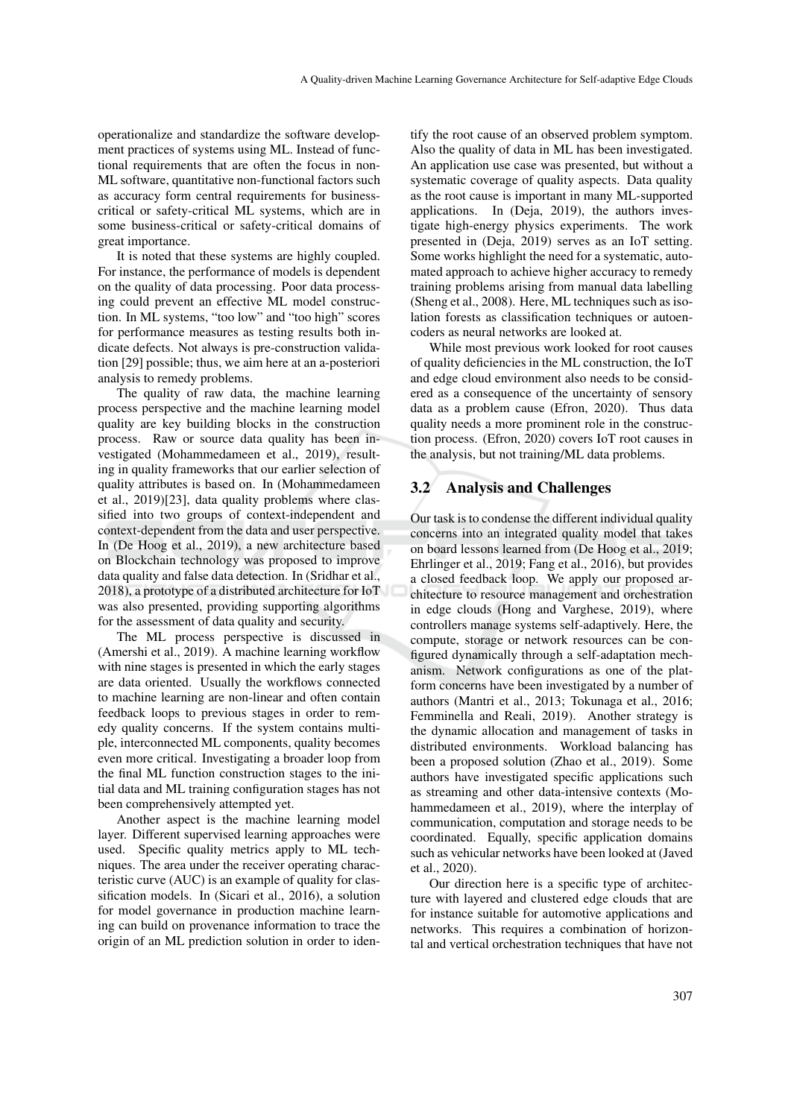operationalize and standardize the software development practices of systems using ML. Instead of functional requirements that are often the focus in non-ML software, quantitative non-functional factors such as accuracy form central requirements for businesscritical or safety-critical ML systems, which are in some business-critical or safety-critical domains of great importance.

It is noted that these systems are highly coupled. For instance, the performance of models is dependent on the quality of data processing. Poor data processing could prevent an effective ML model construction. In ML systems, "too low" and "too high" scores for performance measures as testing results both indicate defects. Not always is pre-construction validation [29] possible; thus, we aim here at an a-posteriori analysis to remedy problems.

The quality of raw data, the machine learning process perspective and the machine learning model quality are key building blocks in the construction process. Raw or source data quality has been investigated (Mohammedameen et al., 2019), resulting in quality frameworks that our earlier selection of quality attributes is based on. In (Mohammedameen et al., 2019)[23], data quality problems where classified into two groups of context-independent and context-dependent from the data and user perspective. In (De Hoog et al., 2019), a new architecture based on Blockchain technology was proposed to improve data quality and false data detection. In (Sridhar et al., 2018), a prototype of a distributed architecture for IoT was also presented, providing supporting algorithms for the assessment of data quality and security.

The ML process perspective is discussed in (Amershi et al., 2019). A machine learning workflow with nine stages is presented in which the early stages are data oriented. Usually the workflows connected to machine learning are non-linear and often contain feedback loops to previous stages in order to remedy quality concerns. If the system contains multiple, interconnected ML components, quality becomes even more critical. Investigating a broader loop from the final ML function construction stages to the initial data and ML training configuration stages has not been comprehensively attempted yet.

Another aspect is the machine learning model layer. Different supervised learning approaches were used. Specific quality metrics apply to ML techniques. The area under the receiver operating characteristic curve (AUC) is an example of quality for classification models. In (Sicari et al., 2016), a solution for model governance in production machine learning can build on provenance information to trace the origin of an ML prediction solution in order to iden-

tify the root cause of an observed problem symptom. Also the quality of data in ML has been investigated. An application use case was presented, but without a systematic coverage of quality aspects. Data quality as the root cause is important in many ML-supported applications. In (Deja, 2019), the authors investigate high-energy physics experiments. The work presented in (Deja, 2019) serves as an IoT setting. Some works highlight the need for a systematic, automated approach to achieve higher accuracy to remedy training problems arising from manual data labelling (Sheng et al., 2008). Here, ML techniques such as isolation forests as classification techniques or autoencoders as neural networks are looked at.

While most previous work looked for root causes of quality deficiencies in the ML construction, the IoT and edge cloud environment also needs to be considered as a consequence of the uncertainty of sensory data as a problem cause (Efron, 2020). Thus data quality needs a more prominent role in the construction process. (Efron, 2020) covers IoT root causes in the analysis, but not training/ML data problems.

### 3.2 Analysis and Challenges

Our task is to condense the different individual quality concerns into an integrated quality model that takes on board lessons learned from (De Hoog et al., 2019; Ehrlinger et al., 2019; Fang et al., 2016), but provides a closed feedback loop. We apply our proposed architecture to resource management and orchestration in edge clouds (Hong and Varghese, 2019), where controllers manage systems self-adaptively. Here, the compute, storage or network resources can be configured dynamically through a self-adaptation mechanism. Network configurations as one of the platform concerns have been investigated by a number of authors (Mantri et al., 2013; Tokunaga et al., 2016; Femminella and Reali, 2019). Another strategy is the dynamic allocation and management of tasks in distributed environments. Workload balancing has been a proposed solution (Zhao et al., 2019). Some authors have investigated specific applications such as streaming and other data-intensive contexts (Mohammedameen et al., 2019), where the interplay of communication, computation and storage needs to be coordinated. Equally, specific application domains such as vehicular networks have been looked at (Javed et al., 2020).

Our direction here is a specific type of architecture with layered and clustered edge clouds that are for instance suitable for automotive applications and networks. This requires a combination of horizontal and vertical orchestration techniques that have not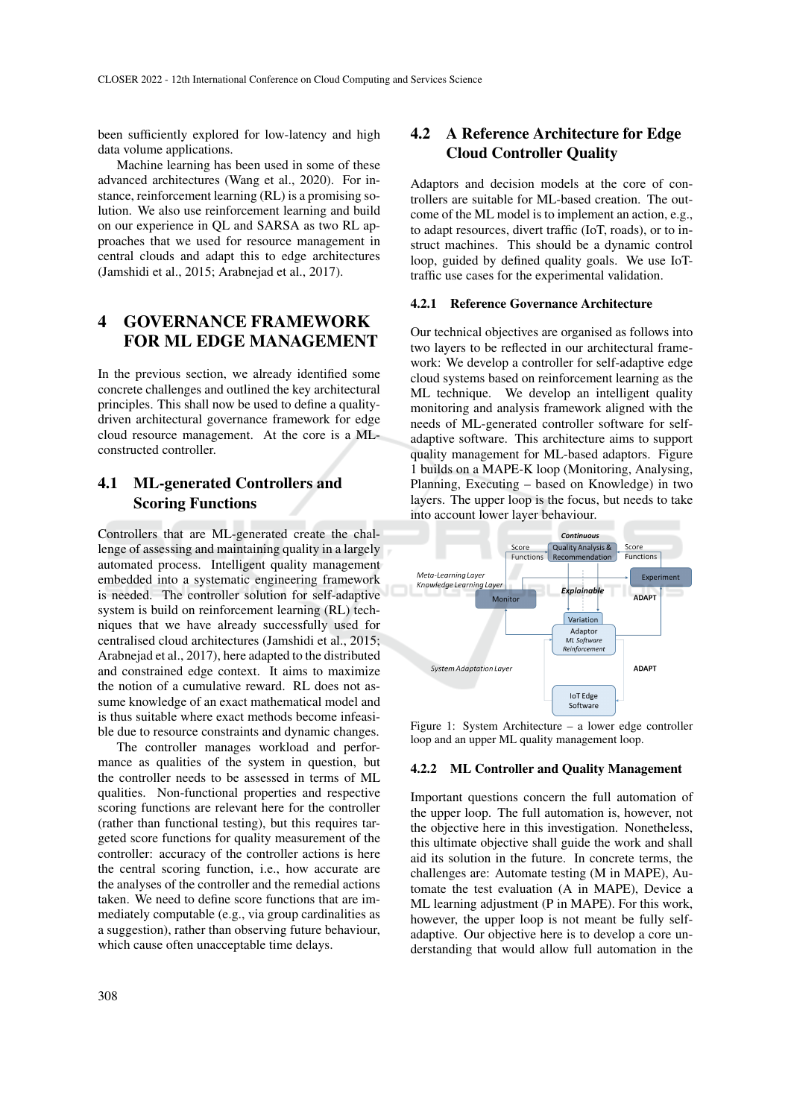been sufficiently explored for low-latency and high data volume applications.

Machine learning has been used in some of these advanced architectures (Wang et al., 2020). For instance, reinforcement learning (RL) is a promising solution. We also use reinforcement learning and build on our experience in QL and SARSA as two RL approaches that we used for resource management in central clouds and adapt this to edge architectures (Jamshidi et al., 2015; Arabnejad et al., 2017).

## 4 GOVERNANCE FRAMEWORK FOR ML EDGE MANAGEMENT

In the previous section, we already identified some concrete challenges and outlined the key architectural principles. This shall now be used to define a qualitydriven architectural governance framework for edge cloud resource management. At the core is a MLconstructed controller.

## 4.1 ML-generated Controllers and Scoring Functions

Controllers that are ML-generated create the challenge of assessing and maintaining quality in a largely automated process. Intelligent quality management embedded into a systematic engineering framework is needed. The controller solution for self-adaptive system is build on reinforcement learning (RL) techniques that we have already successfully used for centralised cloud architectures (Jamshidi et al., 2015; Arabnejad et al., 2017), here adapted to the distributed and constrained edge context. It aims to maximize the notion of a cumulative reward. RL does not assume knowledge of an exact mathematical model and is thus suitable where exact methods become infeasible due to resource constraints and dynamic changes.

The controller manages workload and performance as qualities of the system in question, but the controller needs to be assessed in terms of ML qualities. Non-functional properties and respective scoring functions are relevant here for the controller (rather than functional testing), but this requires targeted score functions for quality measurement of the controller: accuracy of the controller actions is here the central scoring function, i.e., how accurate are the analyses of the controller and the remedial actions taken. We need to define score functions that are immediately computable (e.g., via group cardinalities as a suggestion), rather than observing future behaviour, which cause often unacceptable time delays.

Adaptors and decision models at the core of controllers are suitable for ML-based creation. The outcome of the ML model is to implement an action, e.g., to adapt resources, divert traffic (IoT, roads), or to instruct machines. This should be a dynamic control loop, guided by defined quality goals. We use IoTtraffic use cases for the experimental validation.

#### 4.2.1 Reference Governance Architecture

Our technical objectives are organised as follows into two layers to be reflected in our architectural framework: We develop a controller for self-adaptive edge cloud systems based on reinforcement learning as the ML technique. We develop an intelligent quality monitoring and analysis framework aligned with the needs of ML-generated controller software for selfadaptive software. This architecture aims to support quality management for ML-based adaptors. Figure 1 builds on a MAPE-K loop (Monitoring, Analysing, Planning, Executing – based on Knowledge) in two layers. The upper loop is the focus, but needs to take into account lower layer behaviour.



Figure 1: System Architecture – a lower edge controller loop and an upper ML quality management loop.

### 4.2.2 ML Controller and Quality Management

Important questions concern the full automation of the upper loop. The full automation is, however, not the objective here in this investigation. Nonetheless, this ultimate objective shall guide the work and shall aid its solution in the future. In concrete terms, the challenges are: Automate testing (M in MAPE), Automate the test evaluation (A in MAPE), Device a ML learning adjustment (P in MAPE). For this work, however, the upper loop is not meant be fully selfadaptive. Our objective here is to develop a core understanding that would allow full automation in the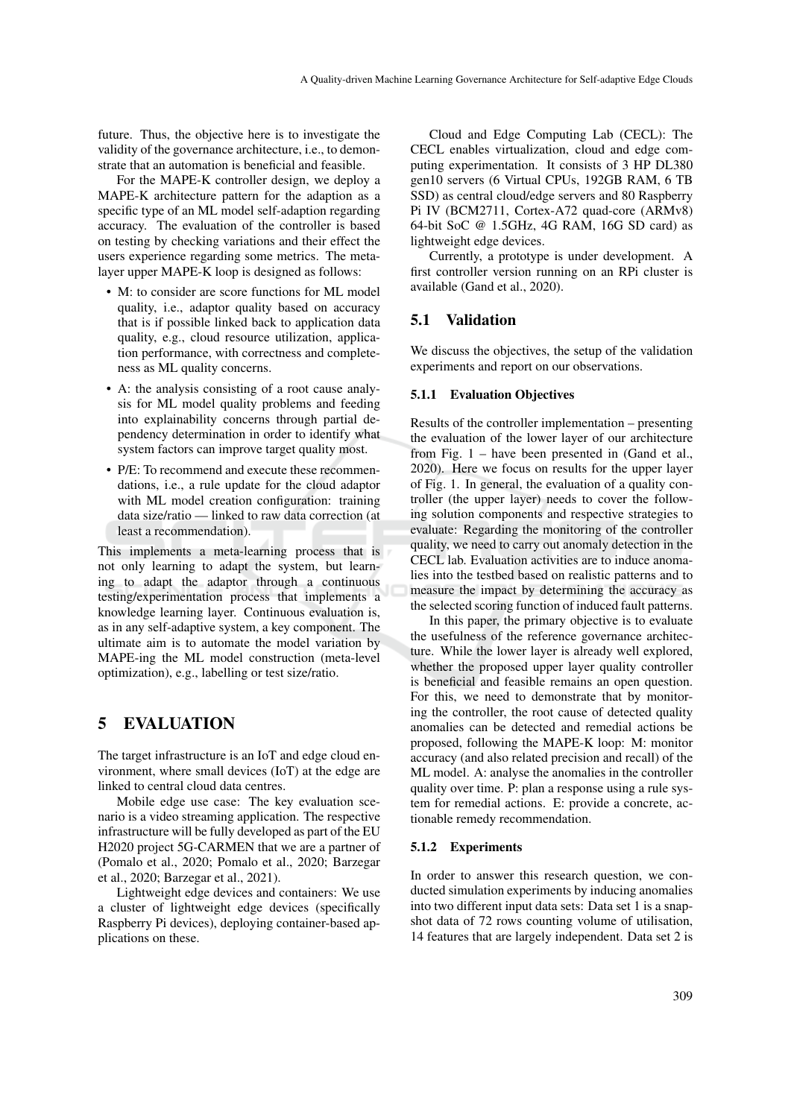future. Thus, the objective here is to investigate the validity of the governance architecture, i.e., to demonstrate that an automation is beneficial and feasible.

For the MAPE-K controller design, we deploy a MAPE-K architecture pattern for the adaption as a specific type of an ML model self-adaption regarding accuracy. The evaluation of the controller is based on testing by checking variations and their effect the users experience regarding some metrics. The metalayer upper MAPE-K loop is designed as follows:

- M: to consider are score functions for ML model quality, i.e., adaptor quality based on accuracy that is if possible linked back to application data quality, e.g., cloud resource utilization, application performance, with correctness and completeness as ML quality concerns.
- A: the analysis consisting of a root cause analysis for ML model quality problems and feeding into explainability concerns through partial dependency determination in order to identify what system factors can improve target quality most.
- P/E: To recommend and execute these recommendations, i.e., a rule update for the cloud adaptor with ML model creation configuration: training data size/ratio — linked to raw data correction (at least a recommendation).

This implements a meta-learning process that is not only learning to adapt the system, but learning to adapt the adaptor through a continuous testing/experimentation process that implements a knowledge learning layer. Continuous evaluation is, as in any self-adaptive system, a key component. The ultimate aim is to automate the model variation by MAPE-ing the ML model construction (meta-level optimization), e.g., labelling or test size/ratio.

## 5 EVALUATION

The target infrastructure is an IoT and edge cloud environment, where small devices (IoT) at the edge are linked to central cloud data centres.

Mobile edge use case: The key evaluation scenario is a video streaming application. The respective infrastructure will be fully developed as part of the EU H2020 project 5G-CARMEN that we are a partner of (Pomalo et al., 2020; Pomalo et al., 2020; Barzegar et al., 2020; Barzegar et al., 2021).

Lightweight edge devices and containers: We use a cluster of lightweight edge devices (specifically Raspberry Pi devices), deploying container-based applications on these.

Cloud and Edge Computing Lab (CECL): The CECL enables virtualization, cloud and edge computing experimentation. It consists of 3 HP DL380 gen10 servers (6 Virtual CPUs, 192GB RAM, 6 TB SSD) as central cloud/edge servers and 80 Raspberry Pi IV (BCM2711, Cortex-A72 quad-core (ARMv8) 64-bit SoC @ 1.5GHz, 4G RAM, 16G SD card) as lightweight edge devices.

Currently, a prototype is under development. A first controller version running on an RPi cluster is available (Gand et al., 2020).

### 5.1 Validation

We discuss the objectives, the setup of the validation experiments and report on our observations.

#### 5.1.1 Evaluation Objectives

Results of the controller implementation – presenting the evaluation of the lower layer of our architecture from Fig. 1 – have been presented in (Gand et al., 2020). Here we focus on results for the upper layer of Fig. 1. In general, the evaluation of a quality controller (the upper layer) needs to cover the following solution components and respective strategies to evaluate: Regarding the monitoring of the controller quality, we need to carry out anomaly detection in the CECL lab. Evaluation activities are to induce anomalies into the testbed based on realistic patterns and to measure the impact by determining the accuracy as the selected scoring function of induced fault patterns.

In this paper, the primary objective is to evaluate the usefulness of the reference governance architecture. While the lower layer is already well explored, whether the proposed upper layer quality controller is beneficial and feasible remains an open question. For this, we need to demonstrate that by monitoring the controller, the root cause of detected quality anomalies can be detected and remedial actions be proposed, following the MAPE-K loop: M: monitor accuracy (and also related precision and recall) of the ML model. A: analyse the anomalies in the controller quality over time. P: plan a response using a rule system for remedial actions. E: provide a concrete, actionable remedy recommendation.

#### 5.1.2 Experiments

In order to answer this research question, we conducted simulation experiments by inducing anomalies into two different input data sets: Data set 1 is a snapshot data of 72 rows counting volume of utilisation, 14 features that are largely independent. Data set 2 is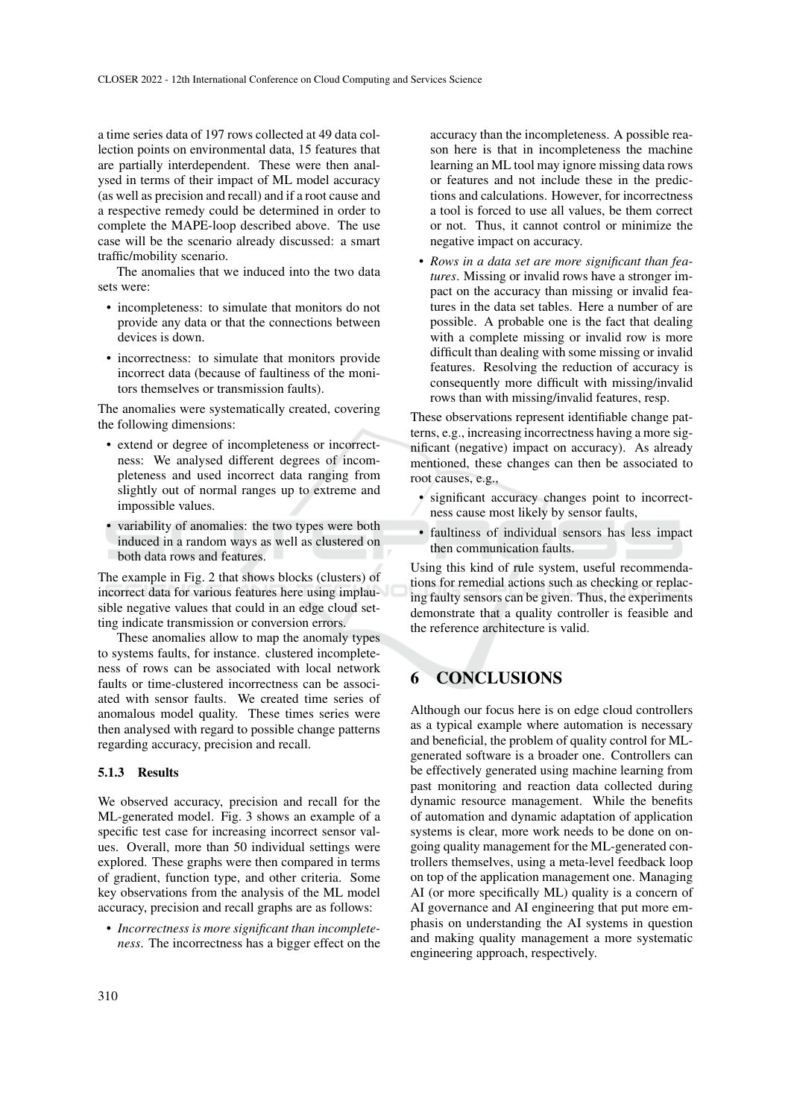a time series data of 197 rows collected at 49 data collection points on environmental data, 15 features that are partially interdependent. These were then analysed in terms of their impact of ML model accuracy (as well as precision and recall) and if a root cause and a respective remedy could be determined in order to complete the MAPE-loop described above. The use case will be the scenario already discussed: a smart traffic/mobility scenario.

The anomalies that we induced into the two data sets were:

- incompleteness: to simulate that monitors do not provide any data or that the connections between devices is down.
- incorrectness: to simulate that monitors provide incorrect data (because of faultiness of the monitors themselves or transmission faults).

The anomalies were systematically created, covering the following dimensions:

- extend or degree of incompleteness or incorrectness: We analysed different degrees of incompleteness and used incorrect data ranging from slightly out of normal ranges up to extreme and impossible values.
- variability of anomalies: the two types were both induced in a random ways as well as clustered on both data rows and features.

The example in Fig. 2 that shows blocks (clusters) of incorrect data for various features here using implausible negative values that could in an edge cloud setting indicate transmission or conversion errors.

These anomalies allow to map the anomaly types to systems faults, for instance. clustered incompleteness of rows can be associated with local network faults or time-clustered incorrectness can be associated with sensor faults. We created time series of anomalous model quality. These times series were then analysed with regard to possible change patterns regarding accuracy, precision and recall.

#### 5.1.3 Results

We observed accuracy, precision and recall for the ML-generated model. Fig. 3 shows an example of a specific test case for increasing incorrect sensor values. Overall, more than 50 individual settings were explored. These graphs were then compared in terms of gradient, function type, and other criteria. Some key observations from the analysis of the ML model accuracy, precision and recall graphs are as follows:

• *Incorrectness is more significant than incompleteness*. The incorrectness has a bigger effect on the accuracy than the incompleteness. A possible reason here is that in incompleteness the machine learning an ML tool may ignore missing data rows or features and not include these in the predictions and calculations. However, for incorrectness a tool is forced to use all values, be them correct or not. Thus, it cannot control or minimize the negative impact on accuracy.

• *Rows in a data set are more significant than features*. Missing or invalid rows have a stronger impact on the accuracy than missing or invalid features in the data set tables. Here a number of are possible. A probable one is the fact that dealing with a complete missing or invalid row is more difficult than dealing with some missing or invalid features. Resolving the reduction of accuracy is consequently more difficult with missing/invalid rows than with missing/invalid features, resp.

These observations represent identifiable change patterns, e.g., increasing incorrectness having a more significant (negative) impact on accuracy). As already mentioned, these changes can then be associated to root causes, e.g.,

- significant accuracy changes point to incorrectness cause most likely by sensor faults,
- faultiness of individual sensors has less impact then communication faults.

Using this kind of rule system, useful recommendations for remedial actions such as checking or replacing faulty sensors can be given. Thus, the experiments demonstrate that a quality controller is feasible and the reference architecture is valid.

## 6 CONCLUSIONS

Although our focus here is on edge cloud controllers as a typical example where automation is necessary and beneficial, the problem of quality control for MLgenerated software is a broader one. Controllers can be effectively generated using machine learning from past monitoring and reaction data collected during dynamic resource management. While the benefits of automation and dynamic adaptation of application systems is clear, more work needs to be done on ongoing quality management for the ML-generated controllers themselves, using a meta-level feedback loop on top of the application management one. Managing AI (or more specifically ML) quality is a concern of AI governance and AI engineering that put more emphasis on understanding the AI systems in question and making quality management a more systematic engineering approach, respectively.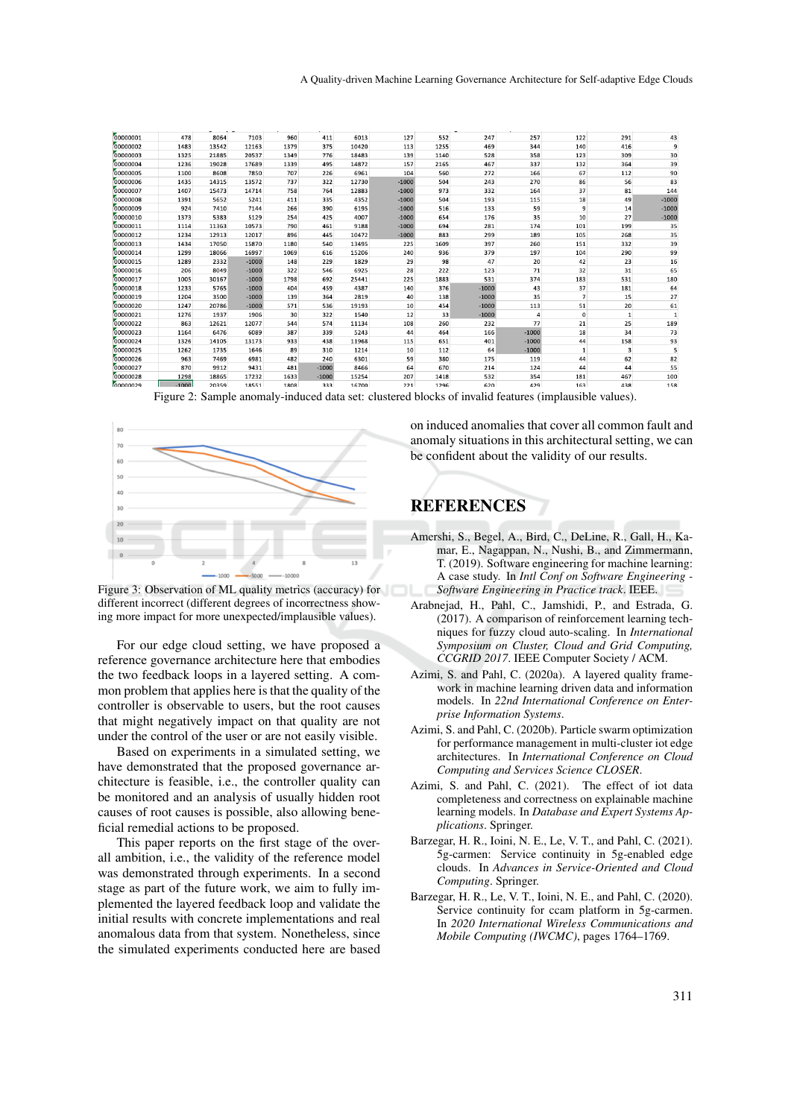| 00000001 | 478     | 8064  | 7103    | 960  | 411     | 6013  | 127     | 552  | 247     | 257     | 122            | 291 | 43      |
|----------|---------|-------|---------|------|---------|-------|---------|------|---------|---------|----------------|-----|---------|
| 00000002 | 1483    | 13542 | 12163   | 1379 | 375     | 10420 | 113     | 1255 | 469     | 344     | 140            | 416 | 9       |
| 00000003 | 1325    | 21885 | 20537   | 1349 | 776     | 18483 | 139     | 1140 | 528     | 358     | 123            | 309 | 30      |
| 00000004 | 1236    | 19028 | 17689   | 1339 | 495     | 14872 | 157     | 2165 | 467     | 337     | 132            | 364 | 39      |
| 00000005 | 1100    | 8608  | 7850    | 707  | 226     | 6961  | 104     | 560  | 272     | 166     | 67             | 112 | 90      |
| 00000006 | 1435    | 14315 | 13572   | 737  | 322     | 12730 | $-1000$ | 504  | 243     | 270     | 86             | 56  | 83      |
| 00000007 | 1407    | 15473 | 14714   | 758  | 764     | 12883 | $-1000$ | 973  | 332     | 164     | 37             | 81  | 144     |
| 00000008 | 1391    | 5652  | 5241    | 411  | 335     | 4352  | $-1000$ | 504  | 193     | 115     | 18             | 49  | $-1000$ |
| 00000009 | 924     | 7410  | 7144    | 266  | 390     | 6195  | $-1000$ | 516  | 133     | 59      | 9              | 14  | $-1000$ |
| 00000010 | 1373    | 5383  | 5129    | 254  | 425     | 4007  | $-1000$ | 654  | 176     | 35      | 10             | 27  | $-1000$ |
| 00000011 | 1114    | 11363 | 10573   | 790  | 461     | 9188  | $-1000$ | 694  | 281     | 174     | 101            | 199 | 35      |
| 00000012 | 1234    | 12913 | 12017   | 896  | 445     | 10472 | $-1000$ | 883  | 299     | 189     | 105            | 268 | 35      |
| 00000013 | 1434    | 17050 | 15870   | 1180 | 540     | 13495 | 225     | 1609 | 397     | 260     | 151            | 332 | 39      |
| 00000014 | 1299    | 18066 | 16997   | 1069 | 616     | 15206 | 240     | 936  | 379     | 197     | 104            | 290 | 99      |
| 00000015 | 1289    | 2332  | $-1000$ | 148  | 229     | 1829  | 29      | 98   | 47      | 20      | 42             | 23  | 16      |
| 00000016 | 206     | 8049  | $-1000$ | 322  | 546     | 6925  | 28      | 222  | 123     | 71      | 32             | 31  | 65      |
| 00000017 | 1005    | 30167 | $-1000$ | 1798 | 692     | 25441 | 225     | 1883 | 531     | 374     | 183            | 531 | 180     |
| 00000018 | 1233    | 5765  | $-1000$ | 404  | 459     | 4387  | 140     | 376  | $-1000$ | 43      | 37             | 181 | 64      |
| 00000019 | 1204    | 3500  | $-1000$ | 139  | 364     | 2819  | 40      | 138  | $-1000$ | 35      | $\overline{7}$ | 15  | 27      |
| 00000020 | 1247    | 20786 | $-1000$ | 571  | 536     | 19193 | 10      | 454  | $-1000$ | 113     | 51             | 20  | 61      |
| 00000021 | 1276    | 1937  | 1906    | 30   | 322     | 1540  | 12      | 33   | $-1000$ |         | 0              | 1   |         |
| 00000022 | 863     | 12621 | 12077   | 544  | 574     | 11134 | 108     | 260  | 232     | 77      | 21             | 25  | 189     |
| 00000023 | 1164    | 6476  | 6089    | 387  | 339     | 5243  | 44      | 464  | 166     | $-1000$ | 18             | 34  | 73      |
| 00000024 | 1326    | 14105 | 13173   | 933  | 438     | 11968 | 115     | 651  | 401     | $-1000$ | 44             | 158 | 93      |
| 00000025 | 1262    | 1735  | 1646    | 89   | 310     | 1214  | 10      | 112  | 64      | $-1000$ | $\mathbf{1}$   | 3   | 5       |
| 00000026 | 963     | 7469  | 6981    | 482  | 240     | 6301  | 59      | 380  | 175     | 119     | 44             | 62  | 82      |
| 00000027 | 870     | 9912  | 9431    | 481  | $-1000$ | 8466  | 64      | 670  | 214     | 124     | 44             | 44  | 55      |
| 00000028 | 1298    | 18865 | 17232   | 1633 | $-1000$ | 15254 | 207     | 1418 | 532     | 354     | 181            | 467 | 100     |
| COOOOO   | $-1000$ | 20359 | 19551   | 1808 | 333     | 16700 | 221     | 1296 | 620     | A2Q     | 163            | 138 | 158     |

Figure 2: Sample anomaly-induced data set: clustered blocks of invalid features (implausible values).





For our edge cloud setting, we have proposed a reference governance architecture here that embodies the two feedback loops in a layered setting. A common problem that applies here is that the quality of the controller is observable to users, but the root causes that might negatively impact on that quality are not under the control of the user or are not easily visible.

Based on experiments in a simulated setting, we have demonstrated that the proposed governance architecture is feasible, i.e., the controller quality can be monitored and an analysis of usually hidden root causes of root causes is possible, also allowing beneficial remedial actions to be proposed.

This paper reports on the first stage of the overall ambition, i.e., the validity of the reference model was demonstrated through experiments. In a second stage as part of the future work, we aim to fully implemented the layered feedback loop and validate the initial results with concrete implementations and real anomalous data from that system. Nonetheless, since the simulated experiments conducted here are based

on induced anomalies that cover all common fault and anomaly situations in this architectural setting, we can be confident about the validity of our results.

# **REFERENCES**

- Amershi, S., Begel, A., Bird, C., DeLine, R., Gall, H., Kamar, E., Nagappan, N., Nushi, B., and Zimmermann, T. (2019). Software engineering for machine learning: A case study. In *Intl Conf on Software Engineering - Software Engineering in Practice track*. IEEE.
- Arabnejad, H., Pahl, C., Jamshidi, P., and Estrada, G. (2017). A comparison of reinforcement learning techniques for fuzzy cloud auto-scaling. In *International Symposium on Cluster, Cloud and Grid Computing, CCGRID 2017*. IEEE Computer Society / ACM.
- Azimi, S. and Pahl, C. (2020a). A layered quality framework in machine learning driven data and information models. In *22nd International Conference on Enterprise Information Systems*.
- Azimi, S. and Pahl, C. (2020b). Particle swarm optimization for performance management in multi-cluster iot edge architectures. In *International Conference on Cloud Computing and Services Science CLOSER*.
- Azimi, S. and Pahl, C. (2021). The effect of iot data completeness and correctness on explainable machine learning models. In *Database and Expert Systems Applications*. Springer.
- Barzegar, H. R., Ioini, N. E., Le, V. T., and Pahl, C. (2021). 5g-carmen: Service continuity in 5g-enabled edge clouds. In *Advances in Service-Oriented and Cloud Computing*. Springer.
- Barzegar, H. R., Le, V. T., Ioini, N. E., and Pahl, C. (2020). Service continuity for ccam platform in 5g-carmen. In *2020 International Wireless Communications and Mobile Computing (IWCMC)*, pages 1764–1769.